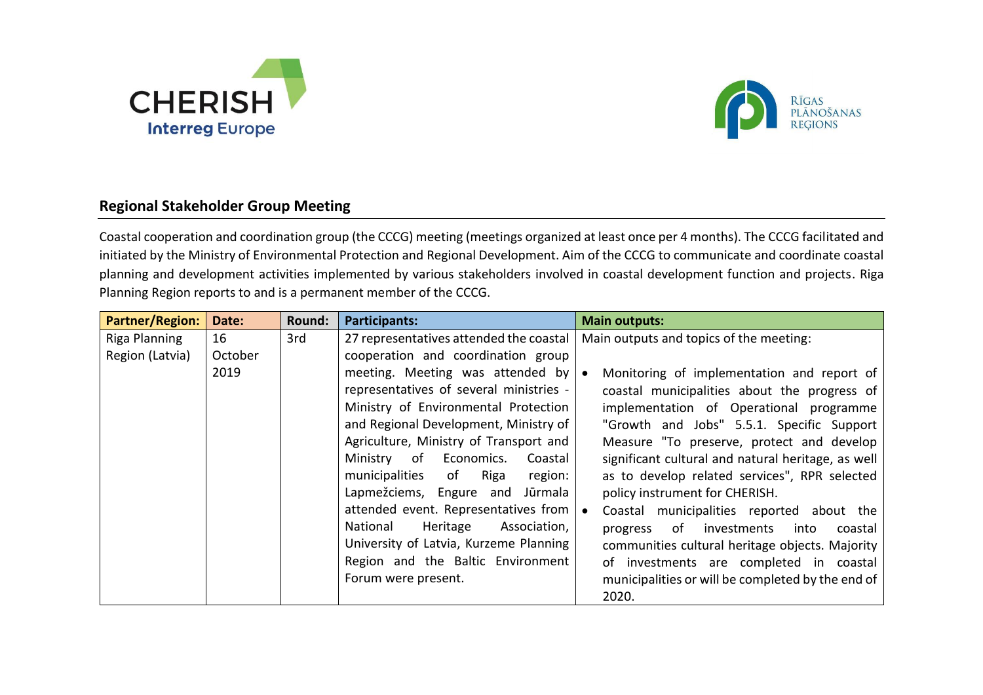



## **Regional Stakeholder Group Meeting**

Coastal cooperation and coordination group (the CCCG) meeting (meetings organized at least once per 4 months). The CCCG facilitated and initiated by the Ministry of Environmental Protection and Regional Development. Aim of the CCCG to communicate and coordinate coastal planning and development activities implemented by various stakeholders involved in coastal development function and projects. Riga Planning Region reports to and is a permanent member of the CCCG.

| <b>Partner/Region:</b> | Date:   | Round: | <b>Participants:</b>                    | <b>Main outputs:</b>                                    |
|------------------------|---------|--------|-----------------------------------------|---------------------------------------------------------|
| Riga Planning          | 16      | 3rd    | 27 representatives attended the coastal | Main outputs and topics of the meeting:                 |
| Region (Latvia)        | October |        | cooperation and coordination group      |                                                         |
|                        | 2019    |        | meeting. Meeting was attended by        | Monitoring of implementation and report of<br>$\bullet$ |
|                        |         |        | representatives of several ministries - | coastal municipalities about the progress of            |
|                        |         |        | Ministry of Environmental Protection    | implementation of Operational programme                 |
|                        |         |        | and Regional Development, Ministry of   | "Growth and Jobs" 5.5.1. Specific Support               |
|                        |         |        | Agriculture, Ministry of Transport and  | Measure "To preserve, protect and develop               |
|                        |         |        | Ministry of Economics.<br>Coastal       | significant cultural and natural heritage, as well      |
|                        |         |        | municipalities<br>of<br>Riga<br>region: | as to develop related services", RPR selected           |
|                        |         |        | Lapmežciems, Engure and Jūrmala         | policy instrument for CHERISH.                          |
|                        |         |        | attended event. Representatives from    | Coastal municipalities reported about the<br>$\bullet$  |
|                        |         |        | National<br>Heritage<br>Association,    | of investments<br>into<br>coastal<br>progress           |
|                        |         |        | University of Latvia, Kurzeme Planning  | communities cultural heritage objects. Majority         |
|                        |         |        | Region and the Baltic Environment       | of investments are completed in coastal                 |
|                        |         |        | Forum were present.                     | municipalities or will be completed by the end of       |
|                        |         |        |                                         | 2020.                                                   |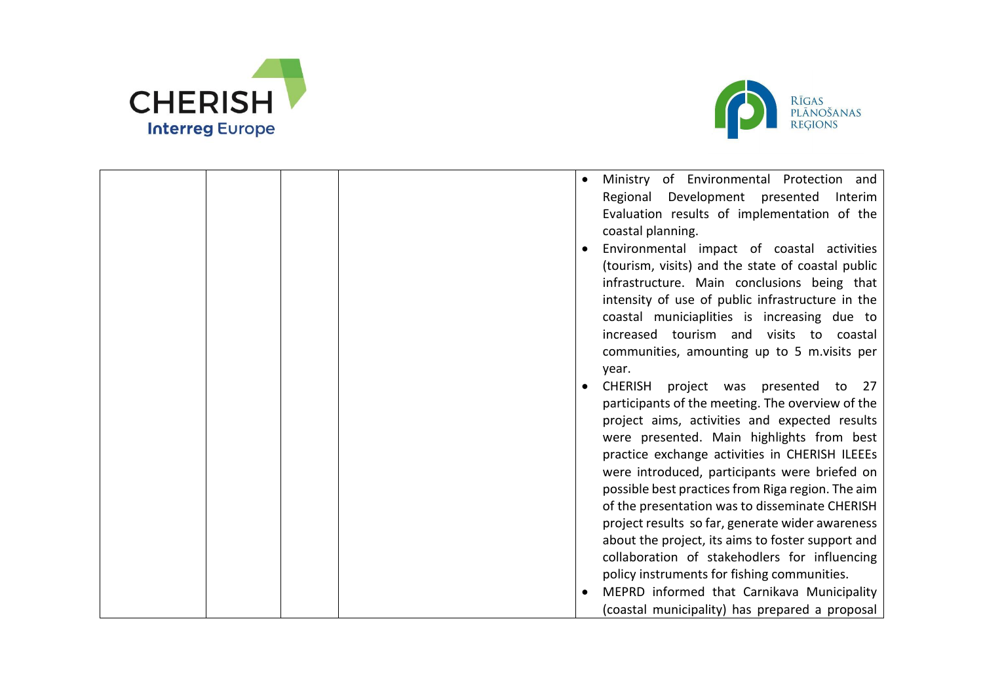



|  | Ministry of Environmental Protection and<br>Regional Development presented<br>Interim<br>Evaluation results of implementation of the<br>coastal planning.<br>Environmental impact of coastal activities |
|--|---------------------------------------------------------------------------------------------------------------------------------------------------------------------------------------------------------|
|  | (tourism, visits) and the state of coastal public<br>infrastructure. Main conclusions being that                                                                                                        |
|  | intensity of use of public infrastructure in the<br>coastal municiaplities is increasing due to                                                                                                         |
|  | increased tourism and visits to coastal<br>communities, amounting up to 5 m.visits per<br>year.                                                                                                         |
|  | CHERISH project was presented to 27                                                                                                                                                                     |
|  | participants of the meeting. The overview of the                                                                                                                                                        |
|  | project aims, activities and expected results                                                                                                                                                           |
|  | were presented. Main highlights from best                                                                                                                                                               |
|  | practice exchange activities in CHERISH ILEEEs                                                                                                                                                          |
|  | were introduced, participants were briefed on                                                                                                                                                           |
|  | possible best practices from Riga region. The aim                                                                                                                                                       |
|  | of the presentation was to disseminate CHERISH                                                                                                                                                          |
|  | project results so far, generate wider awareness                                                                                                                                                        |
|  | about the project, its aims to foster support and<br>collaboration of stakehodlers for influencing                                                                                                      |
|  | policy instruments for fishing communities.                                                                                                                                                             |
|  | MEPRD informed that Carnikava Municipality                                                                                                                                                              |
|  | (coastal municipality) has prepared a proposal                                                                                                                                                          |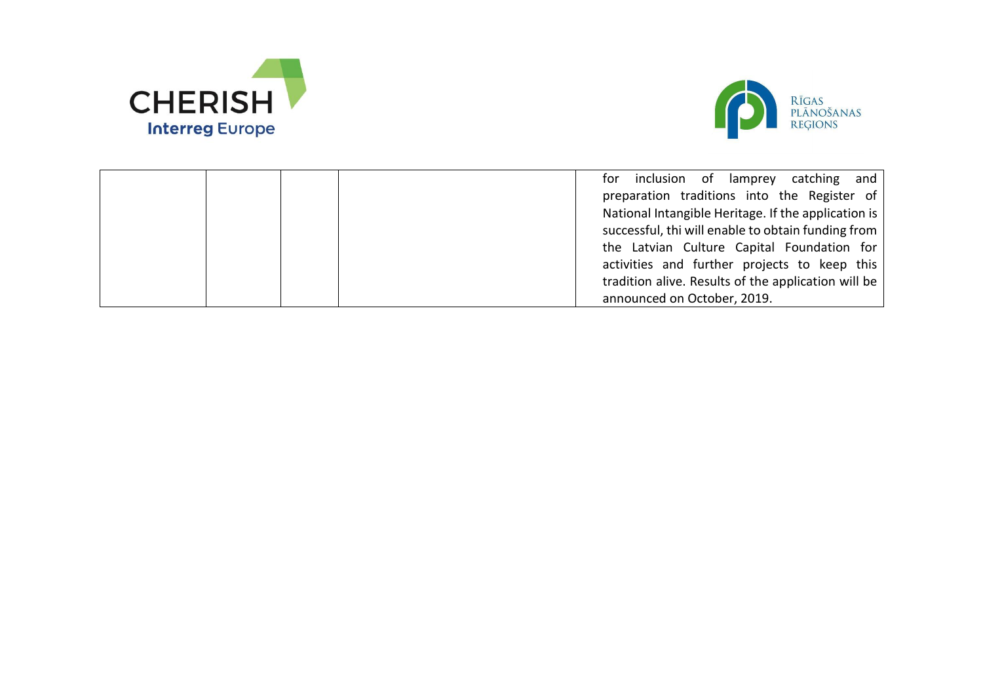



|  | for inclusion of lamprey catching and               |
|--|-----------------------------------------------------|
|  | preparation traditions into the Register of         |
|  | National Intangible Heritage. If the application is |
|  | successful, thi will enable to obtain funding from  |
|  | the Latvian Culture Capital Foundation for          |
|  | activities and further projects to keep this        |
|  | tradition alive. Results of the application will be |
|  | announced on October, 2019.                         |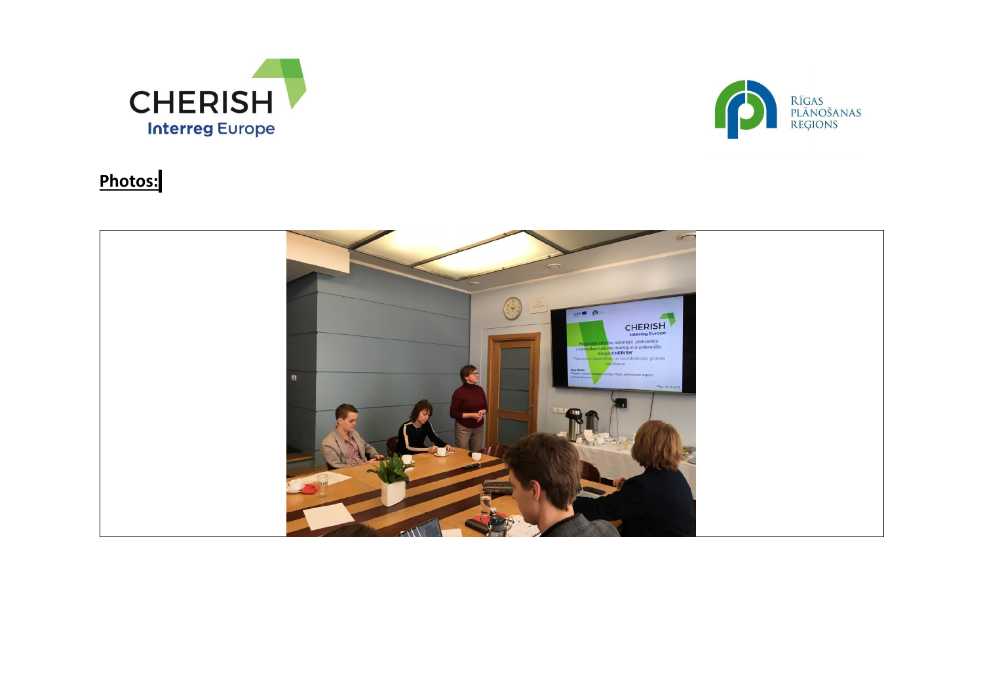



## **Photos:**

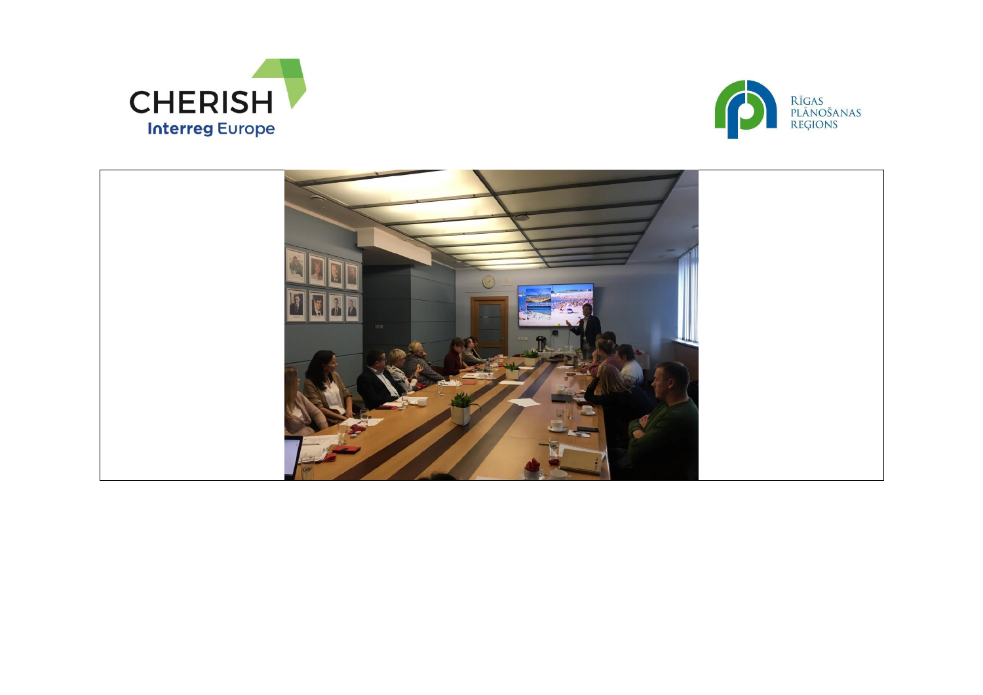



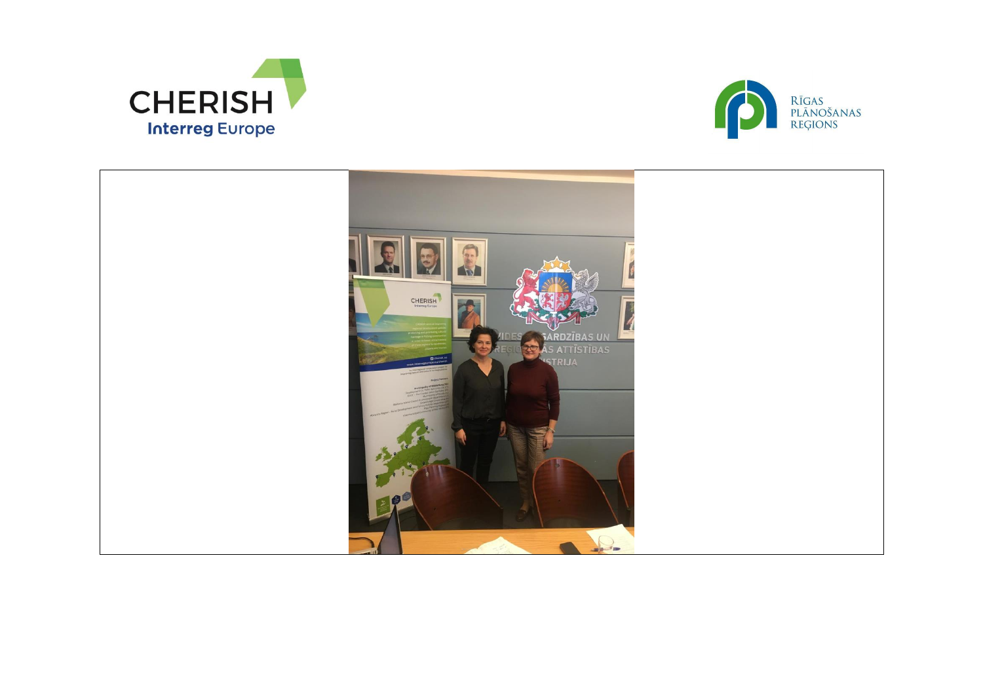